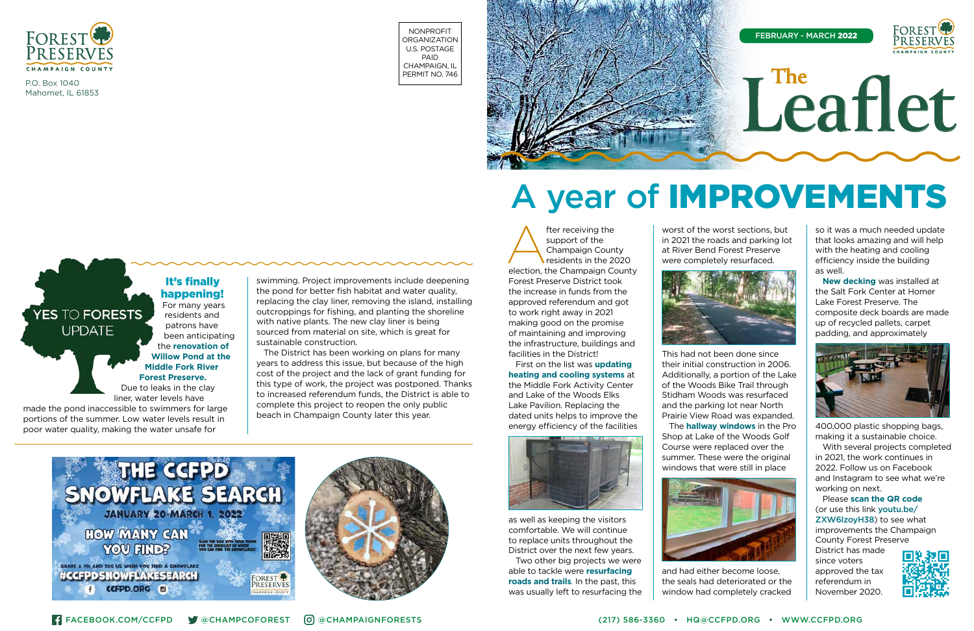

P.O. Box 1040 Mahomet, IL 61853

NONPROFIT **ORGANIZATION** U.S. POSTAGE PAID CHAMPAIGN, IL PERMIT NO. 746



#### It's finally happening! For many years

residents and patrons have been anticipating the **renovation of Willow Pond at the Middle Fork River Forest Preserve.** Due to leaks in the clay liner, water levels have

made the pond inaccessible to swimmers for large portions of the summer. Low water levels result in poor water quality, making the water unsafe for

YES TO FORESTS **UPDATE** 

swimming. Project improvements include deepening the pond for better fish habitat and water quality, replacing the clay liner, removing the island, installing outcroppings for fishing, and planting the shoreline



fter receiving the<br>
support of the<br>
Champaign County<br>
residents in the 2020<br>
election, the Champaign County support of the Champaign County residents in the 2020 Forest Preserve District took the increase in funds from the approved referendum and got to work right away in 2021 making good on the promise of maintaining and improving the infrastructure, buildings and facilities in the District!

with native plants. The new clay liner is being sourced from material on site, which is great for sustainable construction. The District has been working on plans for many years to address this issue, but because of the high cost of the project and the lack of grant funding for this type of work, the project was postponed. Thanks to increased referendum funds, the District is able to

complete this project to reopen the only public beach in Champaign County later this year.

First on the list was **updating heating and cooling systems** at the Middle Fork Activity Center and Lake of the Woods Elks Lake Pavilion. Replacing the dated units helps to improve the energy efficiency of the facilities



as well as keeping the visitors comfortable. We will continue to replace units throughout the District over the next few years.

Two other big projects we were able to tackle were **resurfacing roads and trails**. In the past, this was usually left to resurfacing the



worst of the worst sections, but in 2021 the roads and parking lot at River Bend Forest Preserve were completely resurfaced.

This had not been done since their initial construction in 2006. Additionally, a portion of the Lake of the Woods Bike Trail through Stidham Woods was resurfaced and the parking lot near North Prairie View Road was expanded. The **hallway windows** in the Pro Shop at Lake of the Woods Golf Course were replaced over the summer. These were the original windows that were still in place



and had either become loose, the seals had deteriorated or the window had completely cracked

so it was a much needed update that looks amazing and will help with the heating and cooling efficiency inside the building as well.

**New decking** was installed at the Salt Fork Center at Homer Lake Forest Preserve. The composite deck boards are made up of recycled pallets, carpet padding, and approximately



400,000 plastic shopping bags, making it a sustainable choice.

With several projects completed in 2021, the work continues in 2022. Follow us on Facebook and Instagram to see what we're working on next.

Please **scan the QR code** (or use this link youtu.be/ ZXW6lzoyH38) to see what improvements the Champaign County Forest Preserve District has made since voters approved the tax referendum in November 2020.



# A year of IMPROVEMENTS

# **Leaflet The**

FEBRUARY - MARCH 2022